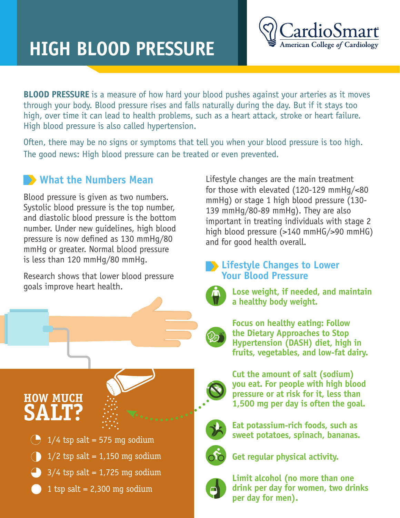## **HIGH BLOOD PRESSURE**

**BLOOD PRESSURE** is a measure of how hard your blood pushes against your arteries as it moves through your body. Blood pressure rises and falls naturally during the day. But if it stays too high, over time it can lead to health problems, such as a heart attack, stroke or heart failure. High blood pressure is also called hypertension.

Often, there may be no signs or symptoms that tell you when your blood pressure is too high. The good news: High blood pressure can be treated or even prevented.

## **What the Numbers Mean**

Blood pressure is given as two numbers. Systolic blood pressure is the top number, and diastolic blood pressure is the bottom number. Under new guidelines, high blood pressure is now defined as 130 mmHg/80 mmHg or greater. Normal blood pressure is less than 120 mmHg/80 mmHg.

Research shows that lower blood pressure goals improve heart health.

**HOW MUCH SALT?**



- $\binom{1}{2}$  tsp salt = 1,150 mg sodium
- $3/4$  tsp salt = 1,725 mg sodium
- 1 tsp salt =  $2,300$  mg sodium

Lifestyle changes are the main treatment for those with elevated (120-129 mmHg/<80 mmHg) or stage 1 high blood pressure (130- 139 mmHg/80-89 mmHg). They are also important in treating individuals with stage 2 high blood pressure (>140 mmHG/>90 mmHG) and for good health overall.

## **Lifestyle Changes to Lower Your Blood Pressure**



**Lose weight, if needed, and maintain a healthy body weight.**

**Focus on healthy eating: Follow the Dietary Approaches to Stop Hypertension (DASH) diet, high in fruits, vegetables, and low-fat dairy.** 

**Cut the amount of salt (sodium) you eat. For people with high blood pressure or at risk for it, less than 1,500 mg per day is often the goal.** 



**Eat potassium-rich foods, such as sweet potatoes, spinach, bananas.**



**Get regular physical activity.**



**Limit alcohol (no more than one drink per day for women, two drinks per day for men).**